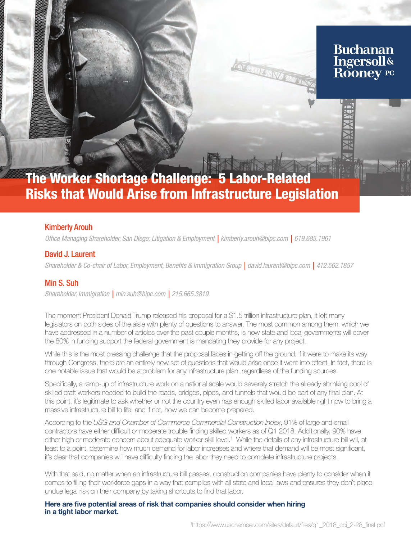# **Buchanan** Ingersoll&<br>Rooney PC

**ANGELIAN FER** 

# The Worker Shortage Challenge: 5 Labor-Related Risks that Would Arise from Infrastructure Legislation

# Kimberly Arouh

*Office Managing Shareholder, San Diego; Litigation & Employment | kimberly.arouh@bipc.com | 619.685.1961*

# David J. Laurent

*Shareholder & Co-chair of Labor, Employment, Benefits & Immigration Group | david.laurent@bipc.com | 412.562.1857*

# Min S. Suh

*Shareholder, Immigration | min.suh@bipc.com | 215.665.3819*

The moment President Donald Trump released his proposal for a \$1.5 trillion infrastructure plan, it left many legislators on both sides of the aisle with plenty of questions to answer. The most common among them, which we have addressed in a number of articles over the past couple months, is how state and local governments will cover the 80% in funding support the federal government is mandating they provide for any project.

While this is the most pressing challenge that the proposal faces in getting off the ground, if it were to make its way through Congress, there are an entirely new set of questions that would arise once it went into effect. In fact, there is one notable issue that would be a problem for any infrastructure plan, regardless of the funding sources.

Specifically, a ramp-up of infrastructure work on a national scale would severely stretch the already shrinking pool of skilled craft workers needed to build the roads, bridges, pipes, and tunnels that would be part of any final plan. At this point, it's legitimate to ask whether or not the country even has enough skilled labor available right now to bring a massive infrastructure bill to life, and if not, how we can become prepared.

According to the *USG and Chamber of Commerce Commercial Construction Index*, 91% of large and small contractors have either difficult or moderate trouble finding skilled workers as of Q1 2018. Additionally, 90% have either high or moderate concern about adequate worker skill level.<sup>1</sup> While the details of any infrastructure bill will, at least to a point, determine how much demand for labor increases and where that demand will be most significant, it's clear that companies will have difficulty finding the labor they need to complete infrastructure projects.

With that said, no matter when an infrastructure bill passes, construction companies have plenty to consider when it comes to filling their workforce gaps in a way that complies with all state and local laws and ensures they don't place undue legal risk on their company by taking shortcuts to find that labor.

Here are five potential areas of risk that companies should consider when hiring in a tight labor market.